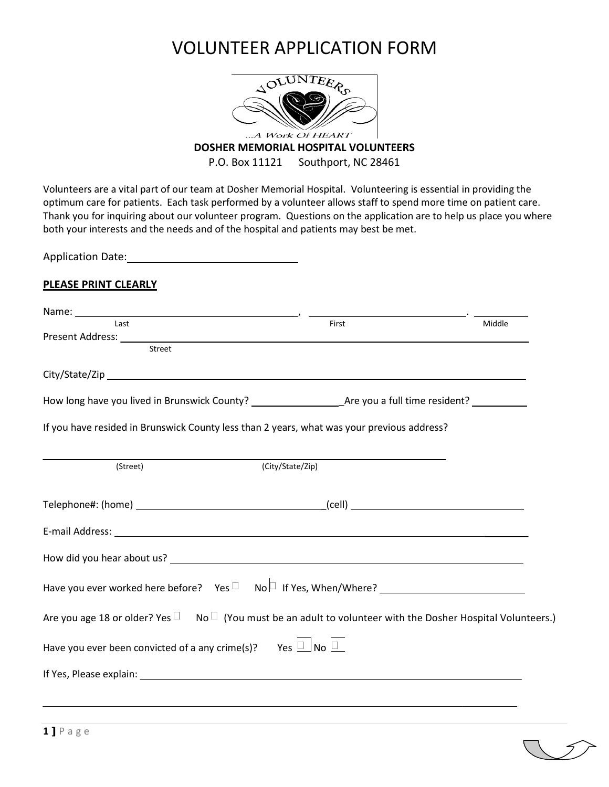## VOLUNTEER APPLICATION FORM



## **DOSHER MEMORIAL HOSPITAL VOLUNTEERS**

P.O. Box 11121 Southport, NC 28461

Volunteers are a vital part of our team at Dosher Memorial Hospital. Volunteering is essential in providing the optimum care for patients. Each task performed by a volunteer allows staff to spend more time on patient care. Thank you for inquiring about our volunteer program. Questions on the application are to help us place you where both your interests and the needs and of the hospital and patients may best be met.

Application Date: Manual Application Date:

## **PLEASE PRINT CLEARLY**

| Last                                                                                                                         | First                         | Middle |
|------------------------------------------------------------------------------------------------------------------------------|-------------------------------|--------|
|                                                                                                                              |                               |        |
| Street                                                                                                                       |                               |        |
|                                                                                                                              |                               |        |
|                                                                                                                              |                               |        |
| If you have resided in Brunswick County less than 2 years, what was your previous address?                                   |                               |        |
| (Street)                                                                                                                     | $\overline{(City/State/Zip)}$ |        |
|                                                                                                                              |                               |        |
|                                                                                                                              |                               |        |
|                                                                                                                              |                               |        |
|                                                                                                                              |                               |        |
| Are you age 18 or older? Yes $\square$ No $\square$ (You must be an adult to volunteer with the Dosher Hospital Volunteers.) |                               |        |
| Have you ever been convicted of a any crime(s)? Yes $\overline{\Box}$ No $\overline{\Box}$                                   |                               |        |
|                                                                                                                              |                               |        |
|                                                                                                                              |                               |        |
|                                                                                                                              |                               |        |